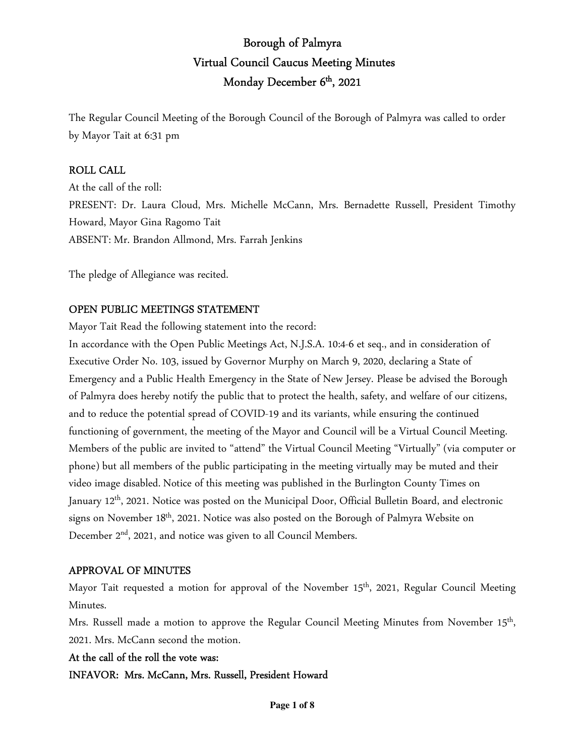# Borough of Palmyra Virtual Council Caucus Meeting Minutes Monday December 6<sup>th</sup>, 2021

The Regular Council Meeting of the Borough Council of the Borough of Palmyra was called to order by Mayor Tait at 6:31 pm

#### ROLL CALL

At the call of the roll: PRESENT: Dr. Laura Cloud, Mrs. Michelle McCann, Mrs. Bernadette Russell, President Timothy Howard, Mayor Gina Ragomo Tait ABSENT: Mr. Brandon Allmond, Mrs. Farrah Jenkins

The pledge of Allegiance was recited.

#### OPEN PUBLIC MEETINGS STATEMENT

Mayor Tait Read the following statement into the record:

In accordance with the Open Public Meetings Act, N.J.S.A. 10:4-6 et seq., and in consideration of Executive Order No. 103, issued by Governor Murphy on March 9, 2020, declaring a State of Emergency and a Public Health Emergency in the State of New Jersey. Please be advised the Borough of Palmyra does hereby notify the public that to protect the health, safety, and welfare of our citizens, and to reduce the potential spread of COVID-19 and its variants, while ensuring the continued functioning of government, the meeting of the Mayor and Council will be a Virtual Council Meeting. Members of the public are invited to "attend" the Virtual Council Meeting "Virtually" (via computer or phone) but all members of the public participating in the meeting virtually may be muted and their video image disabled. Notice of this meeting was published in the Burlington County Times on January 12th, 2021. Notice was posted on the Municipal Door, Official Bulletin Board, and electronic signs on November  $18<sup>th</sup>$ , 2021. Notice was also posted on the Borough of Palmyra Website on December 2<sup>nd</sup>, 2021, and notice was given to all Council Members.

#### APPROVAL OF MINUTES

Mayor Tait requested a motion for approval of the November 15<sup>th</sup>, 2021, Regular Council Meeting Minutes.

Mrs. Russell made a motion to approve the Regular Council Meeting Minutes from November 15<sup>th</sup>, 2021. Mrs. McCann second the motion.

#### At the call of the roll the vote was:

INFAVOR: Mrs. McCann, Mrs. Russell, President Howard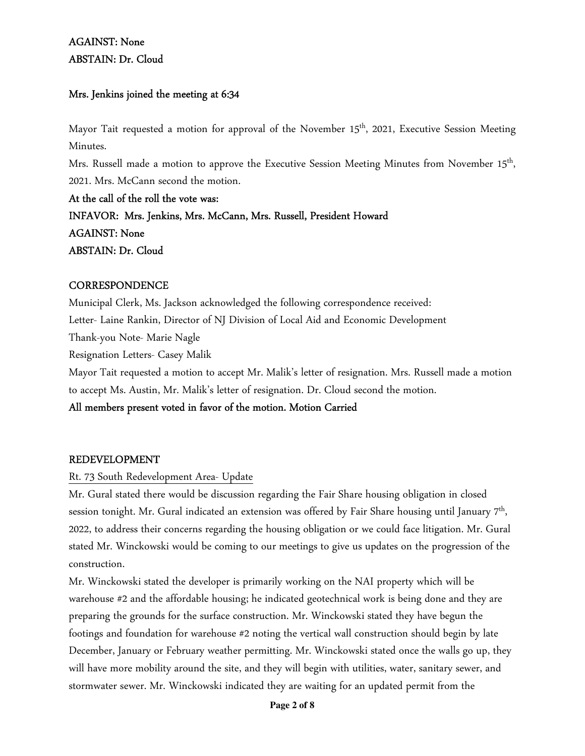## AGAINST: None ABSTAIN: Dr. Cloud

## Mrs. Jenkins joined the meeting at 6:34

Mayor Tait requested a motion for approval of the November 15<sup>th</sup>, 2021, Executive Session Meeting Minutes.

Mrs. Russell made a motion to approve the Executive Session Meeting Minutes from November 15<sup>th</sup>, 2021. Mrs. McCann second the motion.

At the call of the roll the vote was: INFAVOR: Mrs. Jenkins, Mrs. McCann, Mrs. Russell, President Howard AGAINST: None ABSTAIN: Dr. Cloud

#### **CORRESPONDENCE**

Municipal Clerk, Ms. Jackson acknowledged the following correspondence received: Letter- Laine Rankin, Director of NJ Division of Local Aid and Economic Development Thank-you Note- Marie Nagle Resignation Letters- Casey Malik

Mayor Tait requested a motion to accept Mr. Malik's letter of resignation. Mrs. Russell made a motion to accept Ms. Austin, Mr. Malik's letter of resignation. Dr. Cloud second the motion.

## All members present voted in favor of the motion. Motion Carried

## REDEVELOPMENT

## Rt. 73 South Redevelopment Area- Update

Mr. Gural stated there would be discussion regarding the Fair Share housing obligation in closed session tonight. Mr. Gural indicated an extension was offered by Fair Share housing until January  $7^{\rm th}$ , 2022, to address their concerns regarding the housing obligation or we could face litigation. Mr. Gural stated Mr. Winckowski would be coming to our meetings to give us updates on the progression of the construction.

Mr. Winckowski stated the developer is primarily working on the NAI property which will be warehouse #2 and the affordable housing; he indicated geotechnical work is being done and they are preparing the grounds for the surface construction. Mr. Winckowski stated they have begun the footings and foundation for warehouse #2 noting the vertical wall construction should begin by late December, January or February weather permitting. Mr. Winckowski stated once the walls go up, they will have more mobility around the site, and they will begin with utilities, water, sanitary sewer, and stormwater sewer. Mr. Winckowski indicated they are waiting for an updated permit from the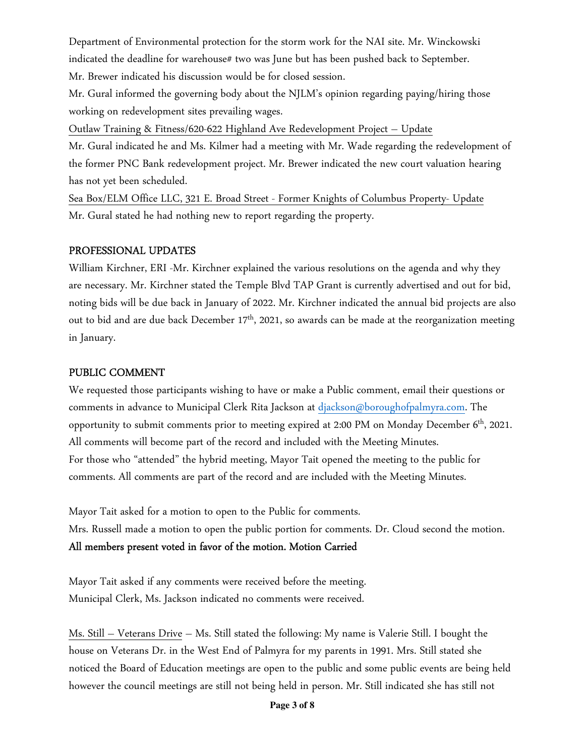Department of Environmental protection for the storm work for the NAI site. Mr. Winckowski indicated the deadline for warehouse# two was June but has been pushed back to September. Mr. Brewer indicated his discussion would be for closed session.

Mr. Gural informed the governing body about the NJLM's opinion regarding paying/hiring those working on redevelopment sites prevailing wages.

Outlaw Training & Fitness/620-622 Highland Ave Redevelopment Project – Update

Mr. Gural indicated he and Ms. Kilmer had a meeting with Mr. Wade regarding the redevelopment of the former PNC Bank redevelopment project. Mr. Brewer indicated the new court valuation hearing has not yet been scheduled.

Sea Box/ELM Office LLC, 321 E. Broad Street - Former Knights of Columbus Property- Update Mr. Gural stated he had nothing new to report regarding the property.

#### PROFESSIONAL UPDATES

William Kirchner, ERI -Mr. Kirchner explained the various resolutions on the agenda and why they are necessary. Mr. Kirchner stated the Temple Blvd TAP Grant is currently advertised and out for bid, noting bids will be due back in January of 2022. Mr. Kirchner indicated the annual bid projects are also out to bid and are due back December 17<sup>th</sup>, 2021, so awards can be made at the reorganization meeting in January.

#### PUBLIC COMMENT

We requested those participants wishing to have or make a Public comment, email their questions or comments in advance to Municipal Clerk Rita Jackson at djackson@boroughofpalmyra.com. The opportunity to submit comments prior to meeting expired at 2:00 PM on Monday December 6<sup>th</sup>, 2021. All comments will become part of the record and included with the Meeting Minutes. For those who "attended" the hybrid meeting, Mayor Tait opened the meeting to the public for comments. All comments are part of the record and are included with the Meeting Minutes.

Mayor Tait asked for a motion to open to the Public for comments.

Mrs. Russell made a motion to open the public portion for comments. Dr. Cloud second the motion.

## All members present voted in favor of the motion. Motion Carried

Mayor Tait asked if any comments were received before the meeting. Municipal Clerk, Ms. Jackson indicated no comments were received.

Ms. Still – Veterans Drive – Ms. Still stated the following: My name is Valerie Still. I bought the house on Veterans Dr. in the West End of Palmyra for my parents in 1991. Mrs. Still stated she noticed the Board of Education meetings are open to the public and some public events are being held however the council meetings are still not being held in person. Mr. Still indicated she has still not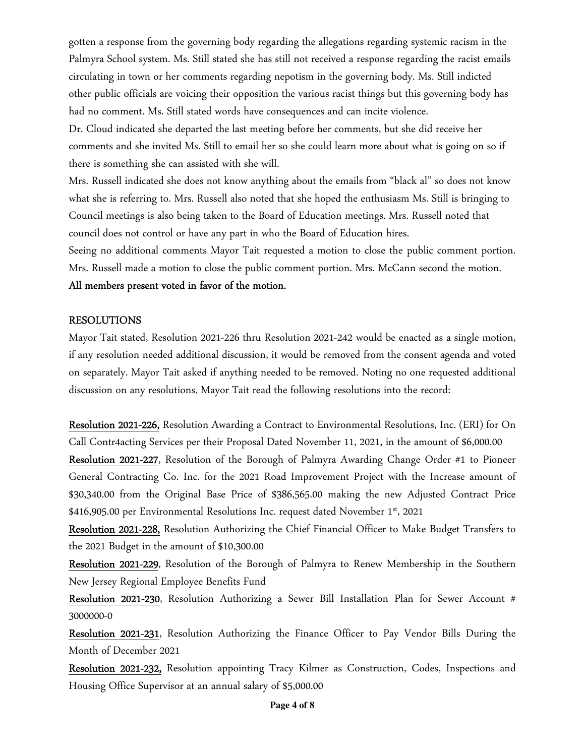gotten a response from the governing body regarding the allegations regarding systemic racism in the Palmyra School system. Ms. Still stated she has still not received a response regarding the racist emails circulating in town or her comments regarding nepotism in the governing body. Ms. Still indicted other public officials are voicing their opposition the various racist things but this governing body has had no comment. Ms. Still stated words have consequences and can incite violence.

Dr. Cloud indicated she departed the last meeting before her comments, but she did receive her comments and she invited Ms. Still to email her so she could learn more about what is going on so if there is something she can assisted with she will.

Mrs. Russell indicated she does not know anything about the emails from "black al" so does not know what she is referring to. Mrs. Russell also noted that she hoped the enthusiasm Ms. Still is bringing to Council meetings is also being taken to the Board of Education meetings. Mrs. Russell noted that council does not control or have any part in who the Board of Education hires.

Seeing no additional comments Mayor Tait requested a motion to close the public comment portion. Mrs. Russell made a motion to close the public comment portion. Mrs. McCann second the motion.

#### All members present voted in favor of the motion.

#### RESOLUTIONS

Mayor Tait stated, Resolution 2021-226 thru Resolution 2021-242 would be enacted as a single motion, if any resolution needed additional discussion, it would be removed from the consent agenda and voted on separately. Mayor Tait asked if anything needed to be removed. Noting no one requested additional discussion on any resolutions, Mayor Tait read the following resolutions into the record:

Resolution 2021-226, Resolution Awarding a Contract to Environmental Resolutions, Inc. (ERI) for On Call Contr4acting Services per their Proposal Dated November 11, 2021, in the amount of \$6,000.00

Resolution 2021-227, Resolution of the Borough of Palmyra Awarding Change Order #1 to Pioneer General Contracting Co. Inc. for the 2021 Road Improvement Project with the Increase amount of \$30,340.00 from the Original Base Price of \$386,565.00 making the new Adjusted Contract Price \$416,905.00 per Environmental Resolutions Inc. request dated November 1<sup>st</sup>, 2021

Resolution 2021-228, Resolution Authorizing the Chief Financial Officer to Make Budget Transfers to the 2021 Budget in the amount of \$10,300.00

Resolution 2021-229, Resolution of the Borough of Palmyra to Renew Membership in the Southern New Jersey Regional Employee Benefits Fund

Resolution 2021-230, Resolution Authorizing a Sewer Bill Installation Plan for Sewer Account # 3000000-0

Resolution 2021-231, Resolution Authorizing the Finance Officer to Pay Vendor Bills During the Month of December 2021

Resolution 2021-232, Resolution appointing Tracy Kilmer as Construction, Codes, Inspections and Housing Office Supervisor at an annual salary of \$5,000.00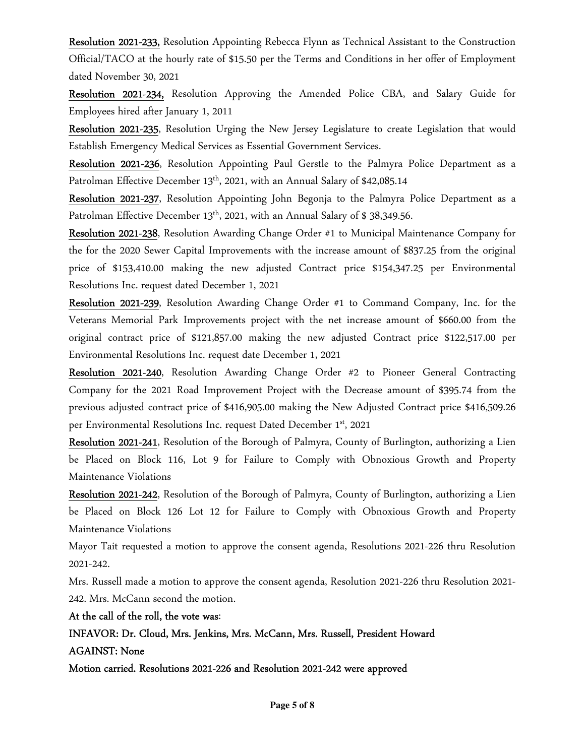Resolution 2021-233, Resolution Appointing Rebecca Flynn as Technical Assistant to the Construction Official/TACO at the hourly rate of \$15.50 per the Terms and Conditions in her offer of Employment dated November 30, 2021

Resolution 2021-234, Resolution Approving the Amended Police CBA, and Salary Guide for Employees hired after January 1, 2011

Resolution 2021-235, Resolution Urging the New Jersey Legislature to create Legislation that would Establish Emergency Medical Services as Essential Government Services.

Resolution 2021-236, Resolution Appointing Paul Gerstle to the Palmyra Police Department as a Patrolman Effective December 13<sup>th</sup>, 2021, with an Annual Salary of \$42,085.14

Resolution 2021-237, Resolution Appointing John Begonja to the Palmyra Police Department as a Patrolman Effective December  $13<sup>th</sup>$ , 2021, with an Annual Salary of \$ 38,349.56.

Resolution 2021-238, Resolution Awarding Change Order #1 to Municipal Maintenance Company for the for the 2020 Sewer Capital Improvements with the increase amount of \$837.25 from the original price of \$153,410.00 making the new adjusted Contract price \$154,347.25 per Environmental Resolutions Inc. request dated December 1, 2021

Resolution 2021-239, Resolution Awarding Change Order #1 to Command Company, Inc. for the Veterans Memorial Park Improvements project with the net increase amount of \$660.00 from the original contract price of \$121,857.00 making the new adjusted Contract price \$122,517.00 per Environmental Resolutions Inc. request date December 1, 2021

Resolution 2021-240, Resolution Awarding Change Order #2 to Pioneer General Contracting Company for the 2021 Road Improvement Project with the Decrease amount of \$395.74 from the previous adjusted contract price of \$416,905.00 making the New Adjusted Contract price \$416,509.26 per Environmental Resolutions Inc. request Dated December 1st, 2021

Resolution 2021-241, Resolution of the Borough of Palmyra, County of Burlington, authorizing a Lien be Placed on Block 116, Lot 9 for Failure to Comply with Obnoxious Growth and Property Maintenance Violations

Resolution 2021-242, Resolution of the Borough of Palmyra, County of Burlington, authorizing a Lien be Placed on Block 126 Lot 12 for Failure to Comply with Obnoxious Growth and Property Maintenance Violations

Mayor Tait requested a motion to approve the consent agenda, Resolutions 2021-226 thru Resolution 2021-242.

Mrs. Russell made a motion to approve the consent agenda, Resolution 2021-226 thru Resolution 2021- 242. Mrs. McCann second the motion.

At the call of the roll, the vote was:

INFAVOR: Dr. Cloud, Mrs. Jenkins, Mrs. McCann, Mrs. Russell, President Howard AGAINST: None

Motion carried. Resolutions 2021-226 and Resolution 2021-242 were approved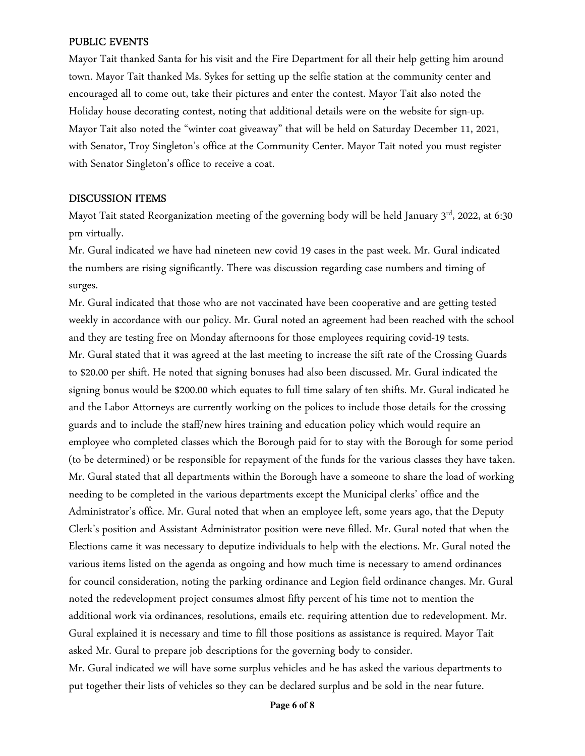#### PUBLIC EVENTS

Mayor Tait thanked Santa for his visit and the Fire Department for all their help getting him around town. Mayor Tait thanked Ms. Sykes for setting up the selfie station at the community center and encouraged all to come out, take their pictures and enter the contest. Mayor Tait also noted the Holiday house decorating contest, noting that additional details were on the website for sign-up. Mayor Tait also noted the "winter coat giveaway" that will be held on Saturday December 11, 2021, with Senator, Troy Singleton's office at the Community Center. Mayor Tait noted you must register with Senator Singleton's office to receive a coat.

#### DISCUSSION ITEMS

Mayot Tait stated Reorganization meeting of the governing body will be held January 3<sup>rd</sup>, 2022, at 6:30 pm virtually.

Mr. Gural indicated we have had nineteen new covid 19 cases in the past week. Mr. Gural indicated the numbers are rising significantly. There was discussion regarding case numbers and timing of surges.

Mr. Gural indicated that those who are not vaccinated have been cooperative and are getting tested weekly in accordance with our policy. Mr. Gural noted an agreement had been reached with the school and they are testing free on Monday afternoons for those employees requiring covid-19 tests. Mr. Gural stated that it was agreed at the last meeting to increase the sift rate of the Crossing Guards to \$20.00 per shift. He noted that signing bonuses had also been discussed. Mr. Gural indicated the signing bonus would be \$200.00 which equates to full time salary of ten shifts. Mr. Gural indicated he and the Labor Attorneys are currently working on the polices to include those details for the crossing guards and to include the staff/new hires training and education policy which would require an employee who completed classes which the Borough paid for to stay with the Borough for some period (to be determined) or be responsible for repayment of the funds for the various classes they have taken. Mr. Gural stated that all departments within the Borough have a someone to share the load of working needing to be completed in the various departments except the Municipal clerks' office and the Administrator's office. Mr. Gural noted that when an employee left, some years ago, that the Deputy Clerk's position and Assistant Administrator position were neve filled. Mr. Gural noted that when the Elections came it was necessary to deputize individuals to help with the elections. Mr. Gural noted the various items listed on the agenda as ongoing and how much time is necessary to amend ordinances for council consideration, noting the parking ordinance and Legion field ordinance changes. Mr. Gural noted the redevelopment project consumes almost fifty percent of his time not to mention the additional work via ordinances, resolutions, emails etc. requiring attention due to redevelopment. Mr. Gural explained it is necessary and time to fill those positions as assistance is required. Mayor Tait asked Mr. Gural to prepare job descriptions for the governing body to consider. Mr. Gural indicated we will have some surplus vehicles and he has asked the various departments to

put together their lists of vehicles so they can be declared surplus and be sold in the near future.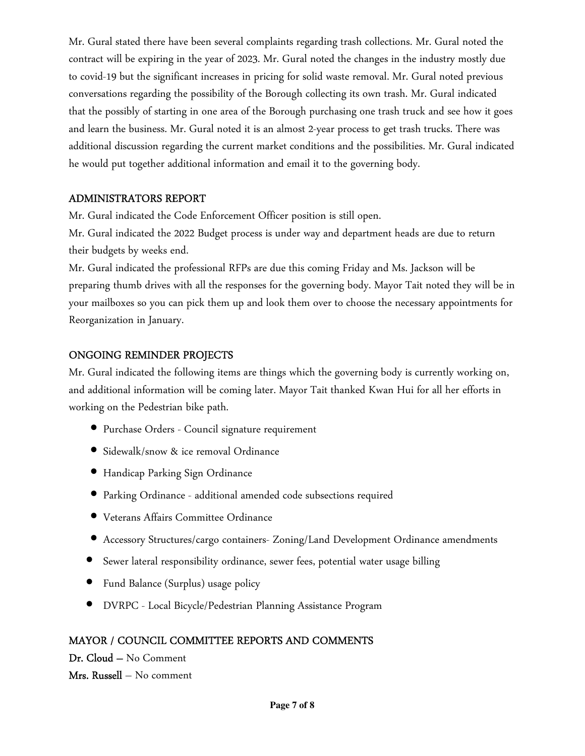Mr. Gural stated there have been several complaints regarding trash collections. Mr. Gural noted the contract will be expiring in the year of 2023. Mr. Gural noted the changes in the industry mostly due to covid-19 but the significant increases in pricing for solid waste removal. Mr. Gural noted previous conversations regarding the possibility of the Borough collecting its own trash. Mr. Gural indicated that the possibly of starting in one area of the Borough purchasing one trash truck and see how it goes and learn the business. Mr. Gural noted it is an almost 2-year process to get trash trucks. There was additional discussion regarding the current market conditions and the possibilities. Mr. Gural indicated he would put together additional information and email it to the governing body.

## ADMINISTRATORS REPORT

Mr. Gural indicated the Code Enforcement Officer position is still open.

Mr. Gural indicated the 2022 Budget process is under way and department heads are due to return their budgets by weeks end.

Mr. Gural indicated the professional RFPs are due this coming Friday and Ms. Jackson will be preparing thumb drives with all the responses for the governing body. Mayor Tait noted they will be in your mailboxes so you can pick them up and look them over to choose the necessary appointments for Reorganization in January.

## ONGOING REMINDER PROJECTS

Mr. Gural indicated the following items are things which the governing body is currently working on, and additional information will be coming later. Mayor Tait thanked Kwan Hui for all her efforts in working on the Pedestrian bike path.

- Purchase Orders Council signature requirement
- Sidewalk/snow & ice removal Ordinance
- Handicap Parking Sign Ordinance
- Parking Ordinance additional amended code subsections required
- Veterans Affairs Committee Ordinance
- Accessory Structures/cargo containers- Zoning/Land Development Ordinance amendments
- Sewer lateral responsibility ordinance, sewer fees, potential water usage billing
- Fund Balance (Surplus) usage policy
- DVRPC Local Bicycle/Pedestrian Planning Assistance Program

## MAYOR / COUNCIL COMMITTEE REPORTS AND COMMENTS

Dr. Cloud – No Comment Mrs. Russell – No comment